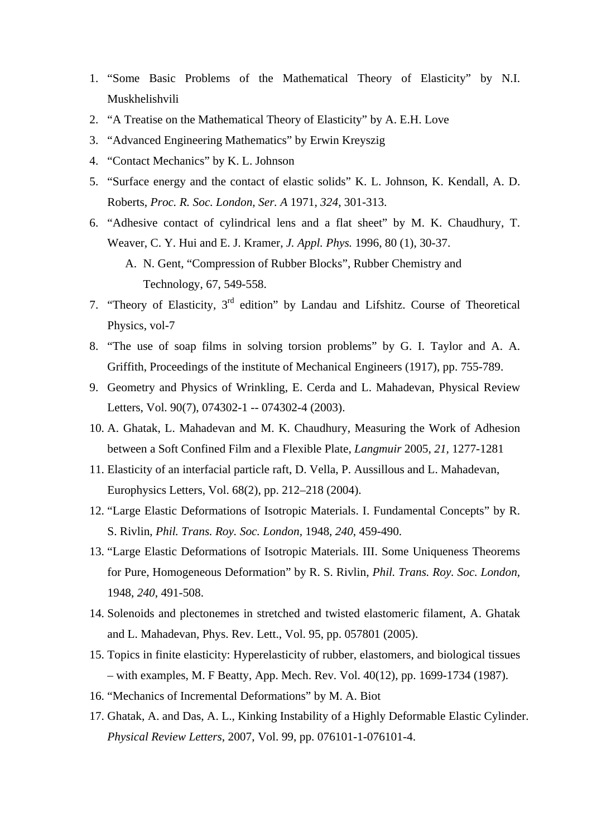- 1. "Some Basic Problems of the Mathematical Theory of Elasticity" by [N.I.](http://www.amazon.com/s/ref=ntt_athr_dp_sr_1?_encoding=UTF8&sort=relevancerank&search-alias=books&field-author=N.I.%20Muskhelishvili)  [Muskhelishvili](http://www.amazon.com/s/ref=ntt_athr_dp_sr_1?_encoding=UTF8&sort=relevancerank&search-alias=books&field-author=N.I.%20Muskhelishvili)
- 2. ["A Treatise on the Mathematical Theory of Elasticity](http://www.addall.com/New/compare.cgi?dispCurr=USD&id=45173&isbn=B000NRZBVS&location=30000&thetime=20091203223626&author=&title=&state=PA)" by A. E.H. Love
- 3. "Advanced Engineering Mathematics" by [Erwin Kreyszig](http://www.amazon.com/s/ref=rdr_ext_aut?_encoding=UTF8&index=books&field-author=Erwin%20Kreyszig)
- 4. "Contact Mechanics" by [K.](http://www.amazon.com/s/ref=ntt_athr_dp_sr_1?_encoding=UTF8&sort=relevancerank&search-alias=books&field-author=N.I.%20Muskhelishvili) L. Johnson
- 5. "Surface energy and the contact of elastic solids" K. L. Johnson, K. Kendall, A. D. Roberts, *Proc. R. Soc. London, Ser. A* 1971, *324*, 301-313.
- 6. "Adhesive contact of cylindrical lens and a flat sheet" by M. K. Chaudhury, T. Weaver, C. Y. Hui and E. J. Kramer, *J. Appl. Phys.* 1996, 80 (1), 30-37.
	- A. N. Gent, "Compression of Rubber Blocks", Rubber Chemistry and Technology, 67, 549-558.
- 7. "Theory of Elasticity, 3rd edition" by Landau and Lifshitz. Course of Theoretical Physics, vol-7
- 8. "The use of soap films in solving torsion problems" by G. I. Taylor and A. A. Griffith, Proceedings of the institute of Mechanical Engineers (1917), pp. 755-789.
- 9. Geometry and Physics of Wrinkling, E. Cerda and L. Mahadevan, Physical Review Letters, Vol. 90(7), 074302-1 -- 074302-4 (2003).
- 10. A. Ghatak, L. Mahadevan and M. K. Chaudhury, Measuring the Work of Adhesion between a Soft Confined Film and a Flexible Plate, *Langmuir* 2005, *21,* 1277-1281
- 11. Elasticity of an interfacial particle raft, D. Vella, P. Aussillous and L. Mahadevan, Europhysics Letters, Vol. 68(2), pp. 212–218 (2004).
- 12. "Large Elastic Deformations of Isotropic Materials. I. Fundamental Concepts" by [R](http://www.amazon.com/s/ref=ntt_athr_dp_sr_1?_encoding=UTF8&sort=relevancerank&search-alias=books&field-author=N.I.%20Muskhelishvili). S. Rivlin, *Phil. Trans. Roy. Soc. London,* 1948, *240*, 459-490.
- 13. "Large Elastic Deformations of Isotropic Materials. III. Some Uniqueness Theorems for Pure, Homogeneous Deformation" by [R](http://www.amazon.com/s/ref=ntt_athr_dp_sr_1?_encoding=UTF8&sort=relevancerank&search-alias=books&field-author=N.I.%20Muskhelishvili). S. Rivlin, *Phil. Trans. Roy. Soc. London,* 1948, *240*, 491-508.
- 14. Solenoids and plectonemes in stretched and twisted elastomeric filament, A. Ghatak and L. Mahadevan, Phys. Rev. Lett., Vol. 95, pp. 057801 (2005).
- 15. Topics in finite elasticity: Hyperelasticity of rubber, elastomers, and biological tissues – with examples, M. F Beatty, App. Mech. Rev. Vol. 40(12), pp. 1699-1734 (1987).
- 16. "Mechanics of Incremental Deformations" by M. A. Biot
- 17. Ghatak, A. and Das, A. L., Kinking Instability of a Highly Deformable Elastic Cylinder. *Physical Review Letters*, 2007, Vol. 99, pp. 076101-1-076101-4.